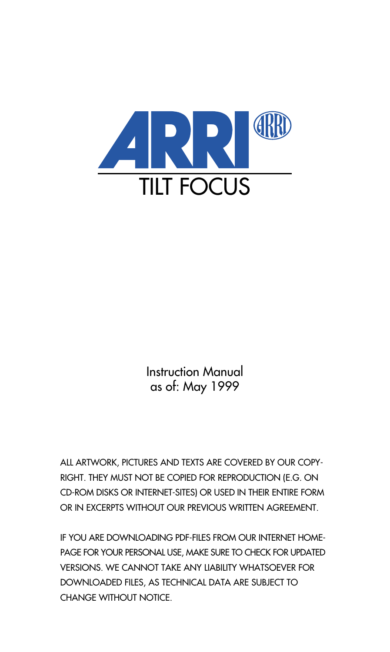

Instruction Manual as of: May 1999

ALL ARTWORK, PICTURES AND TEXTS ARE COVERED BY OUR COPY-RIGHT. THEY MUST NOT BE COPIED FOR REPRODUCTION (E.G. ON CD-ROM DISKS OR INTERNET-SITES) OR USED IN THEIR ENTIRE FORM OR IN EXCERPTS WITHOUT OUR PREVIOUS WRITTEN AGREEMENT.

IF YOU ARE DOWNLOADING PDF-FILES FROM OUR INTERNET HOME-PAGE FOR YOUR PERSONAL USE, MAKE SURE TO CHECK FOR UPDATED VERSIONS. WE CANNOT TAKE ANY LIABILITY WHATSOEVER FOR DOWNLOADED FILES, AS TECHNICAL DATA ARE SUBJECT TO CHANGE WITHOUT NOTICE.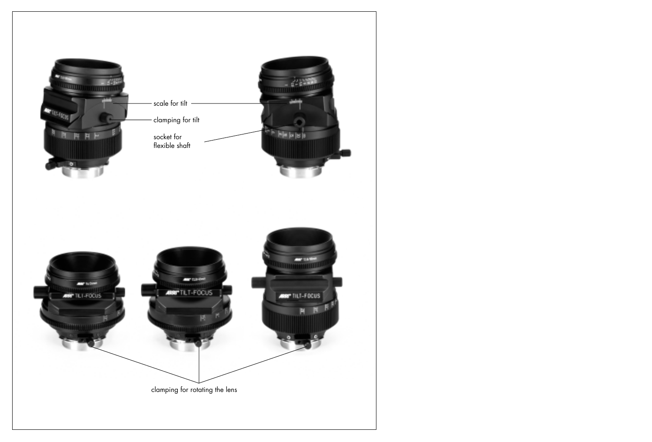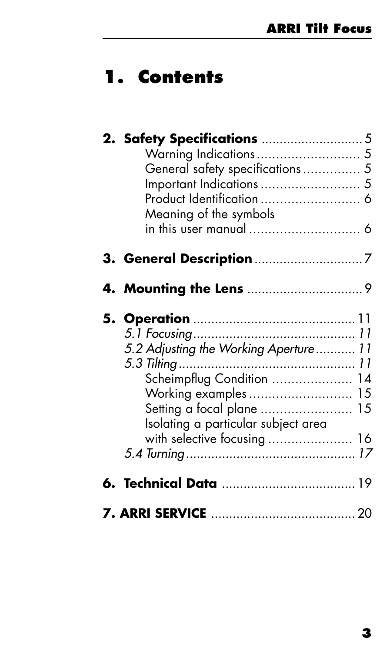# **1. Contents**

|  | General safety specifications 5<br>Product Identification  6<br>Meaning of the symbols                                                                                                        |  |  |
|--|-----------------------------------------------------------------------------------------------------------------------------------------------------------------------------------------------|--|--|
|  |                                                                                                                                                                                               |  |  |
|  |                                                                                                                                                                                               |  |  |
|  | 5.2 Adjusting the Working Aperture 11<br>Scheimpflug Condition  14<br>Working examples  15<br>Setting a focal plane  15<br>Isolating a particular subject area<br>with selective focusing  16 |  |  |
|  |                                                                                                                                                                                               |  |  |
|  |                                                                                                                                                                                               |  |  |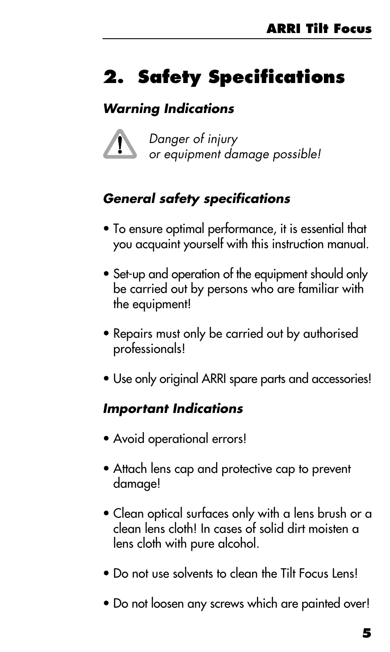# <span id="page-4-0"></span>**2. Safety Specifications**

#### **Warning Indications**



Danger of injury or equipment damage possible!

### **General safety specifications**

- To ensure optimal performance, it is essential that you acquaint yourself with this instruction manual.
- Set-up and operation of the equipment should only be carried out by persons who are familiar with the equipment!
- Repairs must only be carried out by authorised professionals!
- Use only original ARRI spare parts and accessories!

#### **Important Indications**

- Avoid operational errors!
- Attach lens cap and protective cap to prevent damage!
- Clean optical surfaces only with a lens brush or a clean lens cloth! In cases of solid dirt moisten a lens cloth with pure alcohol.
- Do not use solvents to clean the Tilt Focus Lens!
- Do not loosen any screws which are painted over!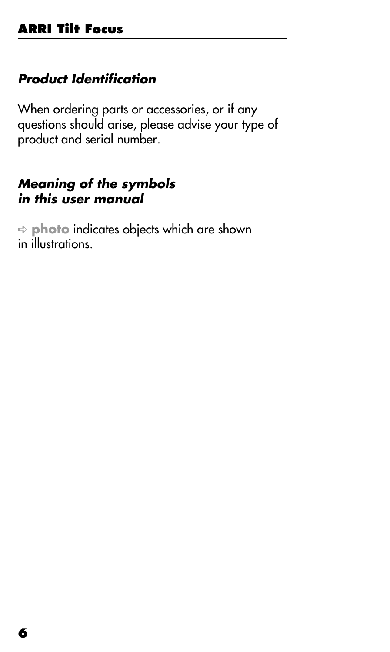### <span id="page-5-0"></span>**Product Identification**

When ordering parts or accessories, or if any questions should arise, please advise your type of product and serial number.

#### **Meaning of the symbols in this user manual**

➪ **photo** indicates objects which are shown in illustrations.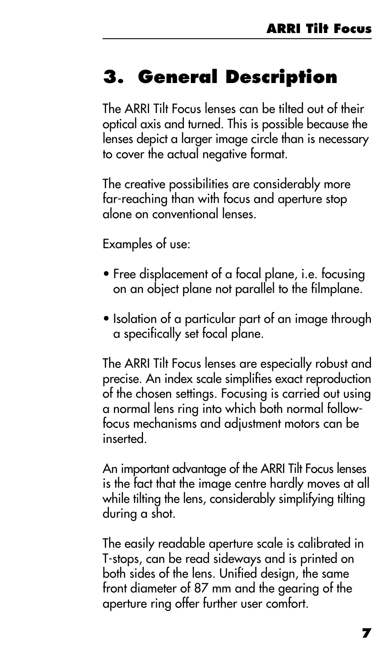## <span id="page-6-0"></span>**3. General Description**

The ARRI Tilt Focus lenses can be tilted out of their optical axis and turned. This is possible because the lenses depict a larger image circle than is necessary to cover the actual negative format.

The creative possibilities are considerably more far-reaching than with focus and aperture stop alone on conventional lenses.

Examples of use:

- Free displacement of a focal plane, i.e. focusing on an object plane not parallel to the filmplane.
- Isolation of a particular part of an image through a specifically set focal plane.

The ARRI Tilt Focus lenses are especially robust and precise. An index scale simplifies exact reproduction of the chosen settings. Focusing is carried out using a normal lens ring into which both normal followfocus mechanisms and adjustment motors can be inserted.

An important advantage of the ARRI Tilt Focus lenses is the fact that the image centre hardly moves at all while tilting the lens, considerably simplifying tilting during a shot.

The easily readable aperture scale is calibrated in T-stops, can be read sideways and is printed on both sides of the lens. Unified design, the same front diameter of 87 mm and the gearing of the aperture ring offer further user comfort.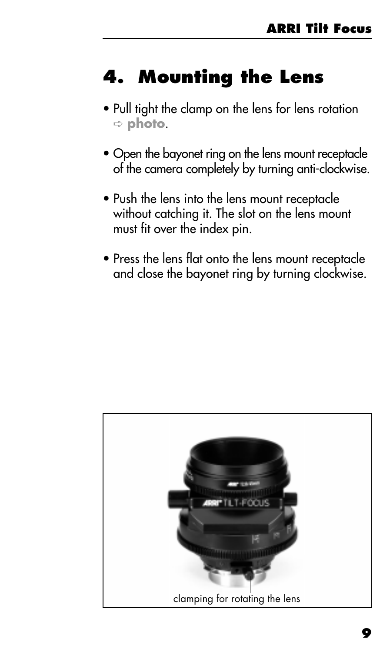# <span id="page-8-0"></span>**4. Mounting the Lens**

- Pull tight the clamp on the lens for lens rotation ➪ **photo**.
- Open the bayonet ring on the lens mount receptacle of the camera completely by turning anti-clockwise.
- Push the lens into the lens mount receptacle without catching it. The slot on the lens mount must fit over the index pin.
- Press the lens flat onto the lens mount receptacle and close the bayonet ring by turning clockwise.

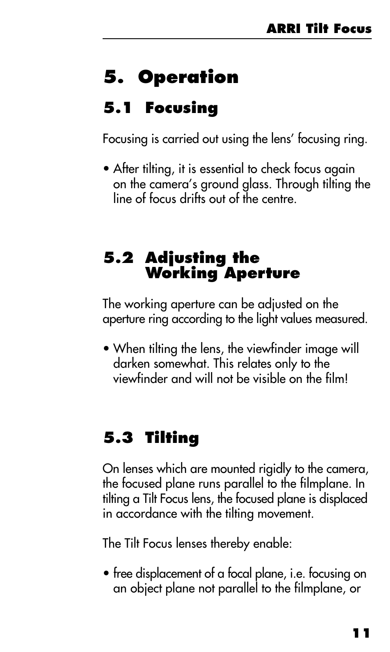# <span id="page-10-0"></span>**5. Operation**

# **5.1 Focusing**

Focusing is carried out using the lens' focusing ring.

• After tilting, it is essential to check focus again on the camera's ground glass. Through tilting the line of focus drifts out of the centre.

### **5.2 Adjusting the Working Aperture**

The working aperture can be adjusted on the aperture ring according to the light values measured.

• When tilting the lens, the viewfinder image will darken somewhat. This relates only to the viewfinder and will not be visible on the film!

## **5.3 Tilting**

On lenses which are mounted rigidly to the camera, the focused plane runs parallel to the filmplane. In tilting a Tilt Focus lens, the focused plane is displaced in accordance with the tilting movement.

The Tilt Focus lenses thereby enable:

• free displacement of a focal plane, i.e. focusing on an object plane not parallel to the filmplane, or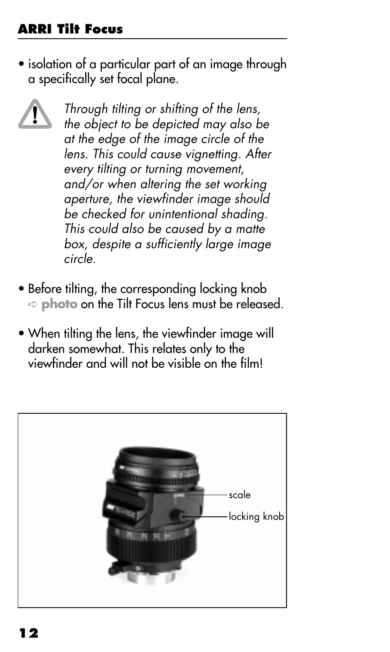#### **ARRI Tilt Focus**

• isolation of a particular part of an image through a specifically set focal plane.

> Through tilting or shifting of the lens, the object to be depicted may also be at the edge of the image circle of the lens. This could cause vignetting. After every tilting or turning movement, and/or when altering the set working aperture, the viewfinder image should be checked for unintentional shading. This could also be caused by a matte box, despite a sufficiently large image circle.

- Before tilting, the corresponding locking knob ➪ **photo** on the Tilt Focus lens must be released.
- When tilting the lens, the viewfinder image will darken somewhat. This relates only to the viewfinder and will not be visible on the film!

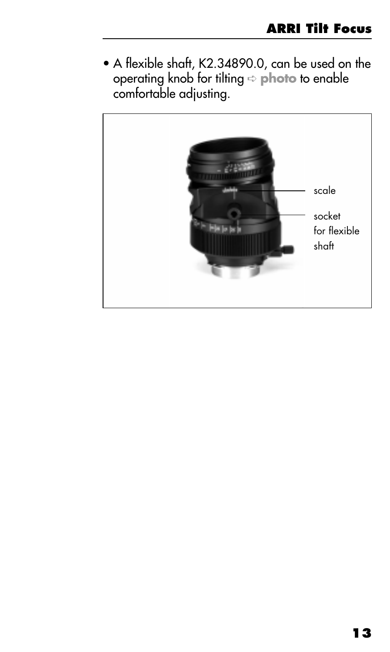• A flexible shaft, K2.34890.0, can be used on the operating knob for tilting ➪ **photo** to enable comfortable adjusting.

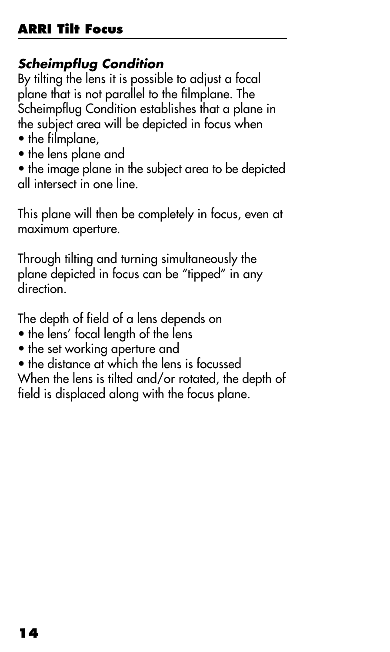### <span id="page-13-0"></span>**Scheimpflug Condition**

By tilting the lens it is possible to adjust a focal plane that is not parallel to the filmplane. The Scheimpflug Condition establishes that a plane in the subject area will be depicted in focus when

- the filmplane,
- the lens plane and
- the image plane in the subject area to be depicted all intersect in one line.

This plane will then be completely in focus, even at maximum aperture.

Through tilting and turning simultaneously the plane depicted in focus can be "tipped" in any direction.

The depth of field of a lens depends on

- the lens' focal length of the lens
- the set working aperture and
- the distance at which the lens is focussed When the lens is tilted and/or rotated, the depth of
- field is displaced along with the focus plane.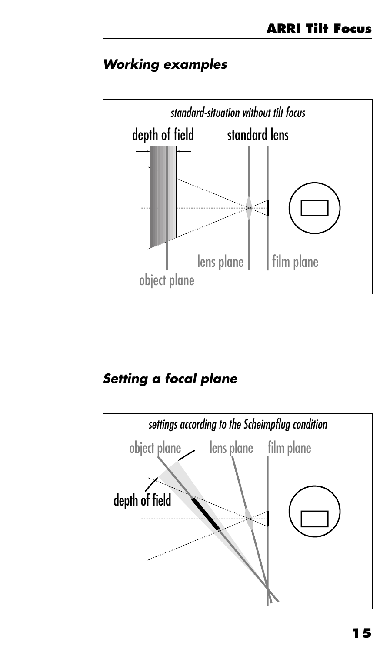#### <span id="page-14-0"></span>**Working examples**



**Setting a focal plane**

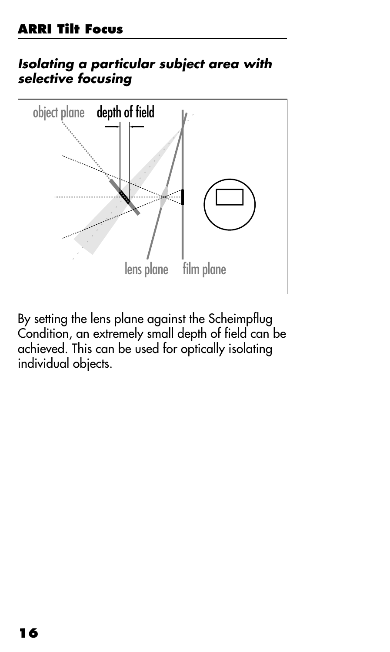#### <span id="page-15-0"></span>**Isolating a particular subject area with selective focusing**



By setting the lens plane against the Scheimpflug Condition, an extremely small depth of field can be achieved. This can be used for optically isolating individual objects.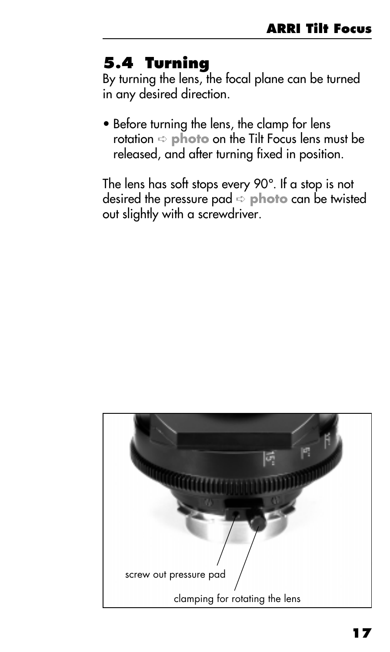### <span id="page-16-0"></span>**5.4 Turning**

By turning the lens, the focal plane can be turned in any desired direction.

• Before turning the lens, the clamp for lens rotation ➪ **photo** on the Tilt Focus lens must be released, and after turning fixed in position.

The lens has soft stops every 90°. If a stop is not desired the pressure pad ➪ **photo** can be twisted out slightly with a screwdriver.

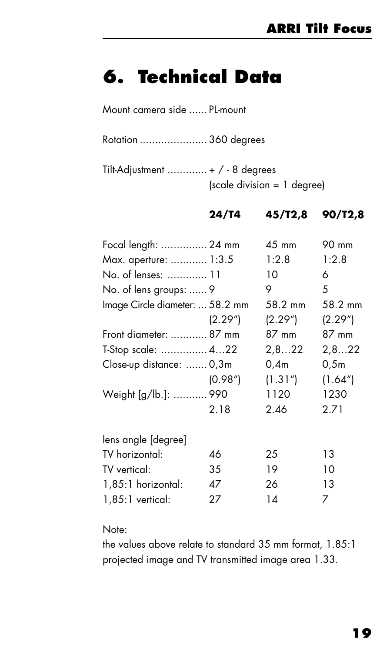### <span id="page-18-0"></span>**6. Technical Data**

Mount camera side ...... PL-mount

Rotation ...................... 360 degrees

Tilt-Adjustment ............. + / - 8 degrees (scale division = 1 degree)

|                                 | 24/T4   | 45/T <sub>2</sub> ,8 | 90/T <sub>2</sub> ,8  |
|---------------------------------|---------|----------------------|-----------------------|
| Focal length:  24 mm            |         | $45 \text{ mm}$      | 90 mm                 |
| Max. aperture:  1:3.5           |         | 1:2.8                | 1:2.8                 |
| No. of lenses:  11              |         | 10                   | 6                     |
| No. of lens groups:  9          |         | 9                    | 5                     |
| Image Circle diameter:  58.2 mm |         | 58.2 mm              | 58.2 mm               |
|                                 | (2.29") | (2.29")              | (2.29")               |
| Front diameter:  87 mm          |         | 87 mm                | 87 mm                 |
| T-Stop scale:  422              |         | 2, 822               | 2, 822                |
| Close-up distance:  0,3m        |         | 0,4m                 | 0,5m                  |
|                                 | (0.98") | (1.31'')             | (1.64 <sup>''</sup> ) |
| Weight [g/lb.]:  990            |         | 1120                 | 1230                  |
|                                 | 2.18    | 2.46                 | 2.71                  |
| lens angle [degree]             |         |                      |                       |
| TV horizontal:                  | 46      | 25                   | 13                    |
| TV vertical:                    | 35      | 19                   | 10                    |
| 1,85:1 horizontal:              | 47      | 26                   | 13                    |
| 1,85:1 vertical:                | 27      | 14                   | 7                     |

Note:

the values above relate to standard 35 mm format, 1.85:1 projected image and TV transmitted image area 1.33.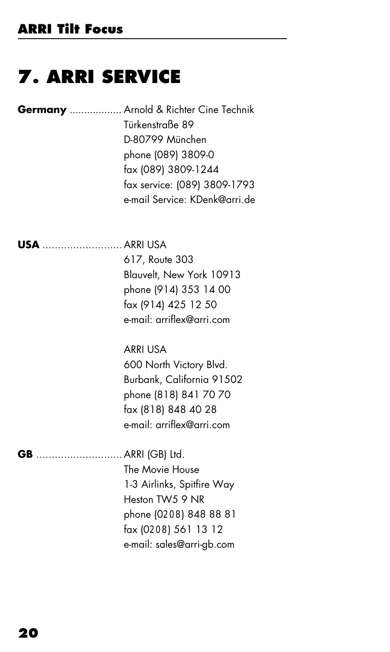# **7. ARRI SERVICE**

|                          | Germany  Arnold & Richter Cine Technik<br>Türkenstraße 89 |
|--------------------------|-----------------------------------------------------------|
|                          | D-80799 München                                           |
|                          | phone (089) 3809-0                                        |
|                          | fax (089) 3809-1244                                       |
|                          | fax service: (089) 3809-1793                              |
|                          | e-mail Service: KDenk@arri.de                             |
|                          |                                                           |
| <b>USA</b> ARRI USA      |                                                           |
|                          | 617, Route 303                                            |
|                          | Blauvelt, New York 10913                                  |
|                          | phone (914) 353 14 00                                     |
|                          | fax (914) 425 12 50                                       |
|                          | e-mail: arriflex@arri.com                                 |
|                          | <b>ARRI USA</b>                                           |
|                          | 600 North Victory Blvd.                                   |
|                          | Burbank, California 91502                                 |
|                          | phone (818) 841 70 70                                     |
|                          | fax (818) 848 40 28                                       |
|                          | e-mail: arriflex@arri.com                                 |
| <b>GB</b> ARRI (GB) Ltd. |                                                           |
|                          | The Movie House                                           |
|                          | 1-3 Airlinks, Spitfire Way                                |
|                          | Heston TW5 9 NR                                           |
|                          | phone (0208) 848 88 81                                    |
|                          | fax (0208) 561 13 12                                      |
|                          | e-mail: sales@arri-gb.com                                 |
|                          |                                                           |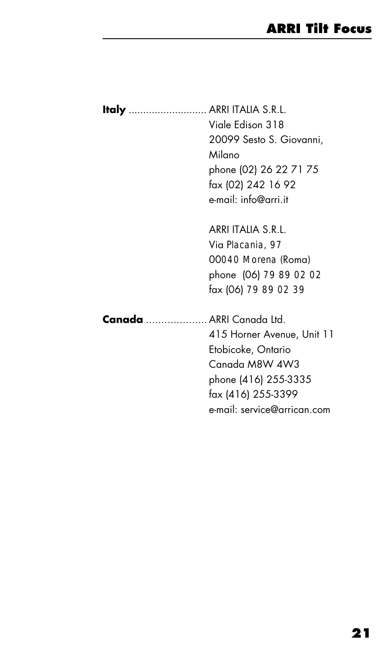**Italy** ........................... ARRI ITALIA S.R.L. Viale Edison 318 20099 Sesto S. Giovanni, Milano phone (02) 26 22 71 75 fax (02) 242 16 92 e-mail: info@arri.it ARRI ITALIA S.R.L. Via Placania, 97 00040 Morena (Roma) phone (06) 79 89 02 02 fax (06) 79 89 02 39 **Canada** .................... ARRI Canada Ltd. 415 Horner Avenue, Unit 11 Etobicoke, Ontario Canada M8W 4W3 phone (416) 255-3335 fax (416) 255-3399 e-mail: service@arrican.com